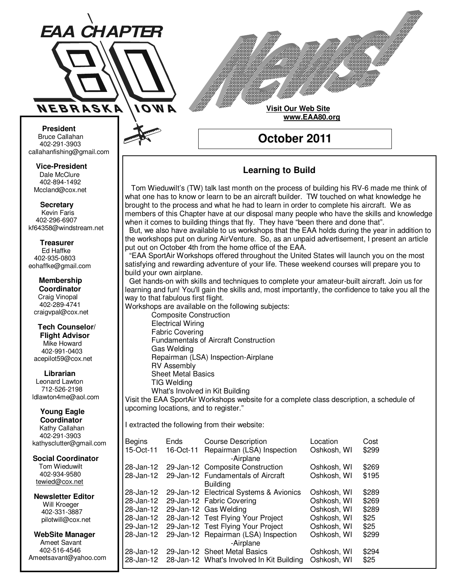

**Visit Our Web Site www.EAA80.org**

**October 2011** 

**Bruce Callahan** 402-291-3903 callahanfishing@gmail.com jrnuke@cox.net  **President** 

Dale McClure 402-894-1492 Mccland@cox.net  **Vice-President** 

**Kevin Faris** 402-296-6907 kf64358@windstream.net  **Secretary** 

Ed Haffke 402-935-0803 eohaffke@gmail.com  **Treasurer** 

eohaffke@gmail.com **Membership Coordi- Coordinator**  Craig Vinopal Bob Cartwright 402-289-4741 craigvpal@cox.net  **Membership** 

robertc@novia.net **Tech Counselors & Flight Advisor** Mike Howard Bob Harvey 402-991-0403 acepilot59@cox.net  **Tech Counselor/** 

Leonard Lawton 402-991-0403 712-526-2198 ldlawton4me@aol.com  **Librarian**

**Librarian Young Eagle Coordinator** Kathy Callahan ldlawton4me@aol.com 402-291-3903 kathysclutter@gmail.com

 **Coordinator Social Coordinator**  Tom Wieduwilt 402-964-2645 402-934-9580 tewied@cox.net

**Newsletter Editor Newsletter Editor**  Will Kroeger Will Kroeger 402-331-3887 402-331-3887 pilotwill@cox.net

**WebSite Manager WebSite Manager**  Ameet Savant 402-516-4546 Ameet Savant<br>402-516-4546<br>Ameetsavant@yahoo.com

### **Learning to Build**

 Tom Wieduwilt's (TW) talk last month on the process of building his RV-6 made me think of what one has to know or learn to be an aircraft builder. TW touched on what knowledge he brought to the process and what he had to learn in order to complete his aircraft. We as members of this Chapter have at our disposal many people who have the skills and knowledge when it comes to building things that fly. They have "been there and done that".

 But, we also have available to us workshops that the EAA holds during the year in addition to the workshops put on during AirVenture. So, as an unpaid advertisement, I present an article put out on October 4th from the home office of the EAA.

 "EAA SportAir Workshops offered throughout the United States will launch you on the most satisfying and rewarding adventure of your life. These weekend courses will prepare you to build your own airplane.

 Get hands-on with skills and techniques to complete your amateur-built aircraft. Join us for learning and fun! You'll gain the skills and, most importantly, the confidence to take you all the way to that fabulous first flight.

Workshops are available on the following subjects:

 Composite Construction Electrical Wiring Fabric Covering Fundamentals of Aircraft Construction Gas Welding Repairman (LSA) Inspection-Airplane RV Assembly Sheet Metal Basics TIG Welding What's Involved in Kit Building

Visit the EAA SportAir Workshops website for a complete class description, a schedule of upcoming locations, and to register."

I extracted the following from their website:

| <b>Begins</b> | Ends      | <b>Course Description</b>                           | Location    | Cost  |
|---------------|-----------|-----------------------------------------------------|-------------|-------|
| 15-Oct-11     | 16-Oct-11 | Repairman (LSA) Inspection<br>-Airplane             | Oshkosh, WI | \$299 |
|               |           | 28-Jan-12 29-Jan-12 Composite Construction          | Oshkosh, WI | \$269 |
| 28-Jan-12     |           | 29-Jan-12 Fundamentals of Aircraft                  | Oshkosh, WI | \$195 |
|               |           | <b>Building</b>                                     |             |       |
| 28-Jan-12     |           | 29-Jan-12 Electrical Systems & Avionics             | Oshkosh, WI | \$289 |
| 28-Jan-12     |           | 29-Jan-12 Fabric Covering                           | Oshkosh, WI | \$269 |
|               |           | 28-Jan-12 29-Jan-12 Gas Welding                     | Oshkosh, WI | \$289 |
|               |           | 28-Jan-12 28-Jan-12 Test Flying Your Project        | Oshkosh, WI | \$25  |
| 29-Jan-12     |           | 29-Jan-12 Test Flying Your Project                  | Oshkosh, WI | \$25  |
| 28-Jan-12     |           | 29-Jan-12 Repairman (LSA) Inspection                | Oshkosh, WI | \$299 |
|               |           | -Airplane                                           |             |       |
| 28-Jan-12     |           | 29-Jan-12 Sheet Metal Basics                        | Oshkosh, WI | \$294 |
|               |           | 28-Jan-12 28-Jan-12 What's Involved In Kit Building | Oshkosh, WI | \$25  |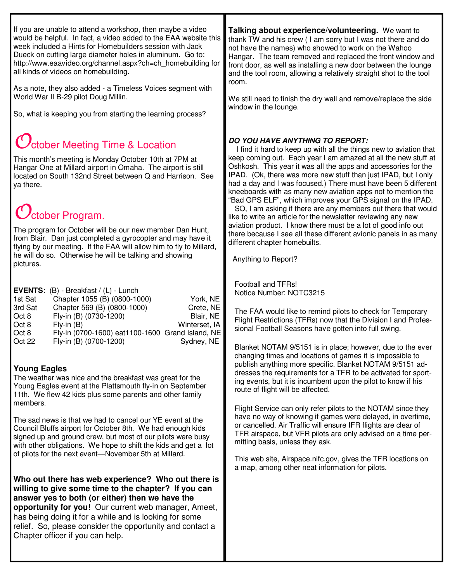If you are unable to attend a workshop, then maybe a video would be helpful. In fact, a video added to the EAA website this week included a Hints for Homebuilders session with Jack Dueck on cutting large diameter holes in aluminum. Go to: http://www.eaavideo.org/channel.aspx?ch=ch\_homebuilding for all kinds of videos on homebuilding.

As a note, they also added - a Timeless Voices segment with World War II B-29 pilot Doug Millin.

So, what is keeping you from starting the learning process?

## $\mathcal{Y}_{\text{ctober}}$  Meeting Time & Location

This month's meeting is Monday October 10th at 7PM at Hangar One at Millard airport in Omaha. The airport is still located on South 132nd Street between Q and Harrison. See ya there.

# **J**ctober Program.

The program for October will be our new member Dan Hunt, from Blair. Dan just completed a gyrocopter and may have it flying by our meeting. If the FAA will allow him to fly to Millard, he will do so. Otherwise he will be talking and showing pictures.

|         | <b>EVENTS:</b> (B) - Breakfast / (L) - Lunch     |               |
|---------|--------------------------------------------------|---------------|
| 1st Sat | Chapter 1055 (B) (0800-1000)                     | York, NE      |
| 3rd Sat | Chapter 569 (B) (0800-1000)                      | Crete, NE     |
| Oct 8   | Fly-in (B) (0730-1200)                           | Blair, NE     |
| Oct 8   | $Fly-in(B)$                                      | Winterset, IA |
| Oct 8   | Fly-in (0700-1600) eat1100-1600 Grand Island, NE |               |
| Oct 22  | Fly-in (B) (0700-1200)                           | Sydney, NE    |

#### **Young Eagles**

The weather was nice and the breakfast was great for the Young Eagles event at the Plattsmouth fly-in on September 11th. We flew 42 kids plus some parents and other family members.

The sad news is that we had to cancel our YE event at the Council Bluffs airport for October 8th. We had enough kids signed up and ground crew, but most of our pilots were busy with other obligations. We hope to shift the kids and get a lot of pilots for the next event—November 5th at Millard.

**Who out there has web experience? Who out there is willing to give some time to the chapter? If you can answer yes to both (or either) then we have the opportunity for you!** Our current web manager, Ameet, has being doing it for a while and is looking for some relief. So, please consider the opportunity and contact a Chapter officer if you can help.

**Talking about experience/volunteering.** We want to thank TW and his crew ( I am sorry but I was not there and do not have the names) who showed to work on the Wahoo Hangar. The team removed and replaced the front window and front door, as well as installing a new door between the lounge and the tool room, allowing a relatively straight shot to the tool room.

We still need to finish the dry wall and remove/replace the side window in the lounge.

#### **DO YOU HAVE ANYTHING TO REPORT:**

 I find it hard to keep up with all the things new to aviation that keep coming out. Each year I am amazed at all the new stuff at Oshkosh. This year it was all the apps and accessories for the IPAD. (Ok, there was more new stuff than just IPAD, but I only had a day and I was focused.) There must have been 5 different kneeboards with as many new aviation apps not to mention the "Bad GPS ELF", which improves your GPS signal on the IPAD.

 SO, I am asking if there are any members out there that would like to write an article for the newsletter reviewing any new aviation product. I know there must be a lot of good info out there because I see all these different avionic panels in as many different chapter homebuilts.

Anything to Report?

Football and TFRs! Notice Number: NOTC3215

The FAA would like to remind pilots to check for Temporary Flight Restrictions (TFRs) now that the Division I and Professional Football Seasons have gotten into full swing.

Blanket NOTAM 9/5151 is in place; however, due to the ever changing times and locations of games it is impossible to publish anything more specific. Blanket NOTAM 9/5151 addresses the requirements for a TFR to be activated for sporting events, but it is incumbent upon the pilot to know if his route of flight will be affected.

Flight Service can only refer pilots to the NOTAM since they have no way of knowing if games were delayed, in overtime, or cancelled. Air Traffic will ensure IFR flights are clear of TFR airspace, but VFR pilots are only advised on a time permitting basis, unless they ask.

This web site, Airspace.nifc.gov, gives the TFR locations on a map, among other neat information for pilots.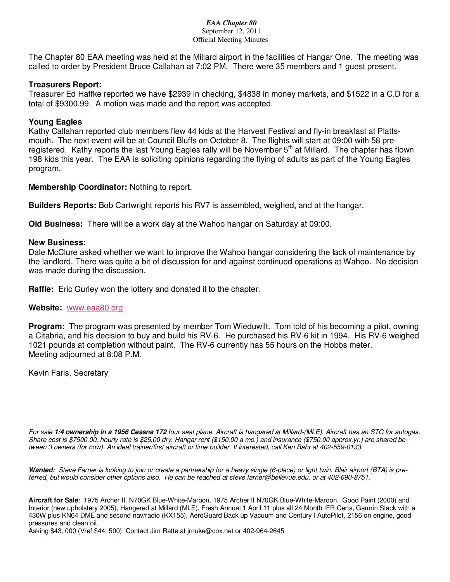#### *EAA Chapter 80*  September 12, 2011 Official Meeting Minutes

The Chapter 80 EAA meeting was held at the Millard airport in the facilities of Hangar One. The meeting was called to order by President Bruce Callahan at 7:02 PM. There were 35 members and 1 guest present.

#### **Treasurers Report:**

Treasurer Ed Haffke reported we have \$2939 in checking, \$4838 in money markets, and \$1522 in a C.D for a total of \$9300.99. A motion was made and the report was accepted.

#### **Young Eagles**

Kathy Callahan reported club members flew 44 kids at the Harvest Festival and fly-in breakfast at Plattsmouth. The next event will be at Council Bluffs on October 8. The flights will start at 09:00 with 58 preregistered. Kathy reports the last Young Eagles rally will be November 5<sup>th</sup> at Millard. The chapter has flown 198 kids this year. The EAA is soliciting opinions regarding the flying of adults as part of the Young Eagles program.

#### **Membership Coordinator:** Nothing to report.

**Builders Reports:** Bob Cartwright reports his RV7 is assembled, weighed, and at the hangar.

**Old Business:** There will be a work day at the Wahoo hangar on Saturday at 09:00.

#### **New Business:**

Dale McClure asked whether we want to improve the Wahoo hangar considering the lack of maintenance by the landlord. There was quite a bit of discussion for and against continued operations at Wahoo. No decision was made during the discussion.

**Raffle:** Eric Gurley won the lottery and donated it to the chapter.

#### **Website:** www.eaa80.org

**Program:** The program was presented by member Tom Wieduwilt. Tom told of his becoming a pilot, owning a Citabria, and his decision to buy and build his RV-6. He purchased his RV-6 kit in 1994. His RV-6 weighed 1021 pounds at completion without paint. The RV-6 currently has 55 hours on the Hobbs meter. Meeting adjourned at 8:08 P.M.

Kevin Faris, Secretary

For sale **1/4 ownership in a 1956 Cessna 172** four seat plane. Aircraft is hangared at Millard-(MLE). Aircraft has an STC for autogas. Share cost is \$7500.00, hourly rate is \$25.00 dry. Hangar rent (\$150.00 a mo.) and insurance (\$750.00 approx.yr.) are shared between 3 owners (for now). An ideal trainer/first aircraft or time builder. If interested, call Ken Bahr at 402-559-0133.

Wanted: Steve Farner is looking to join or create a partnership for a heavy single (6-place) or light twin. Blair airport (BTA) is preferred, but would consider other options also. He can be reached at steve.farner@bellevue.edu, or at 402-690-8751.

**Aircraft for Sale**: 1975 Archer II, N70GK Blue-White-Maroon, 1975 Archer II N70GK Blue-White-Maroon. Good Paint (2000) and Interior (new upholstery 2005), Hangered at Millard (MLE), Fresh Annual 1 April 11 plus all 24 Month IFR Certs, Garmin Stack with a 430W plus KN64 DME and second nav/radio (KX155), AeroGuard Back up Vacuum and Century I AutoPilot, 2156 on engine, good pressures and clean oil.

Asking \$43, 000 (Vref \$44, 500) Contact Jim Ratte at jrnuke@cox.net or 402-964-2645